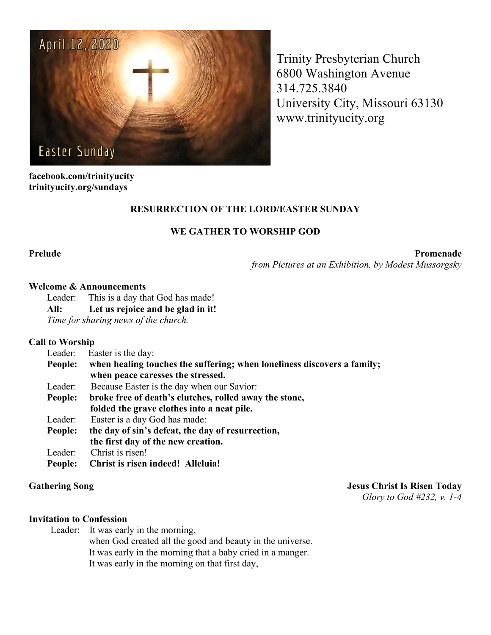

Trinity Presbyterian Church 6800 Washington Avenue 314.725.3840 University City, Missouri 63130 www.trinityucity.org

**facebook.com/trinityucity trinityucity.org/sundays**

# **RESURRECTION OF THE LORD/EASTER SUNDAY**

### **WE GATHER TO WORSHIP GOD**

Prelude Promenade Promenade Promenade Promenade Promenade Promenade Promenade Promenade Promenade Promenade Promenade Promenade Promenade Promenade Promenade Promenade Promenade Promenade Promenade Promenade Promenade Prom

*from Pictures at an Exhibition, by Modest Mussorgsky*

#### **Welcome & Announcements**

Leader: This is a day that God has made!

**All: Let us rejoice and be glad in it!**

*Time for sharing news of the church.*

#### **Call to Worship**

| Leader: | Easter is the day:                                                      |
|---------|-------------------------------------------------------------------------|
| People: | when healing touches the suffering; when loneliness discovers a family; |
|         | when peace caresses the stressed.                                       |
| Leader: | Because Easter is the day when our Savior:                              |
| People: | broke free of death's clutches, rolled away the stone,                  |
|         | folded the grave clothes into a neat pile.                              |
| Leader: | Easter is a day God has made:                                           |
| People: | the day of sin's defeat, the day of resurrection,                       |
|         | the first day of the new creation.                                      |
| Leader: | Christ is risen!                                                        |
| People: | <b>Christ is risen indeed! Alleluia!</b>                                |

**Gathering Song Jesus Christ Is Risen Today**

*Glory to God #232, v. 1-4*

#### **Invitation to Confession**

Leader: It was early in the morning, when God created all the good and beauty in the universe. It was early in the morning that a baby cried in a manger. It was early in the morning on that first day,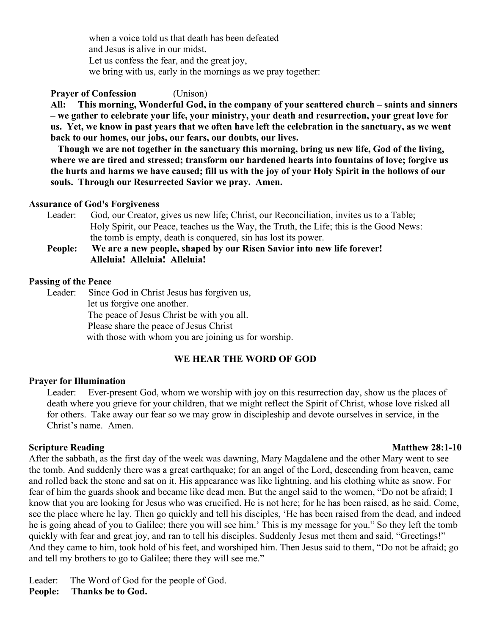when a voice told us that death has been defeated and Jesus is alive in our midst. Let us confess the fear, and the great joy, we bring with us, early in the mornings as we pray together:

**Prayer of Confession** (Unison)

**All: This morning, Wonderful God, in the company of your scattered church – saints and sinners – we gather to celebrate your life, your ministry, your death and resurrection, your great love for us. Yet, we know in past years that we often have left the celebration in the sanctuary, as we went back to our homes, our jobs, our fears, our doubts, our lives.**

**Though we are not together in the sanctuary this morning, bring us new life, God of the living, where we are tired and stressed; transform our hardened hearts into fountains of love; forgive us the hurts and harms we have caused; fill us with the joy of your Holy Spirit in the hollows of our souls. Through our Resurrected Savior we pray. Amen.**

#### **Assurance of God's Forgiveness**

- Leader: God, our Creator, gives us new life; Christ, our Reconciliation, invites us to a Table; Holy Spirit, our Peace, teaches us the Way, the Truth, the Life; this is the Good News: the tomb is empty, death is conquered, sin has lost its power.
- **People: We are a new people, shaped by our Risen Savior into new life forever! Alleluia! Alleluia! Alleluia!**

#### **Passing of the Peace**

Leader: Since God in Christ Jesus has forgiven us, let us forgive one another. The peace of Jesus Christ be with you all. Please share the peace of Jesus Christ with those with whom you are joining us for worship.

# **WE HEAR THE WORD OF GOD**

### **Prayer for Illumination**

Leader: Ever-present God, whom we worship with joy on this resurrection day, show us the places of death where you grieve for your children, that we might reflect the Spirit of Christ, whose love risked all for others. Take away our fear so we may grow in discipleship and devote ourselves in service, in the Christ's name. Amen.

#### **Scripture Reading Matthew 28:1-10**

After the sabbath, as the first day of the week was dawning, Mary Magdalene and the other Mary went to see the tomb. And suddenly there was a great earthquake; for an angel of the Lord, descending from heaven, came and rolled back the stone and sat on it. His appearance was like lightning, and his clothing white as snow. For fear of him the guards shook and became like dead men. But the angel said to the women, "Do not be afraid; I know that you are looking for Jesus who was crucified. He is not here; for he has been raised, as he said. Come, see the place where he lay. Then go quickly and tell his disciples, 'He has been raised from the dead, and indeed he is going ahead of you to Galilee; there you will see him.' This is my message for you." So they left the tomb quickly with fear and great joy, and ran to tell his disciples. Suddenly Jesus met them and said, "Greetings!" And they came to him, took hold of his feet, and worshiped him. Then Jesus said to them, "Do not be afraid; go and tell my brothers to go to Galilee; there they will see me."

Leader: The Word of God for the people of God. **People: Thanks be to God.**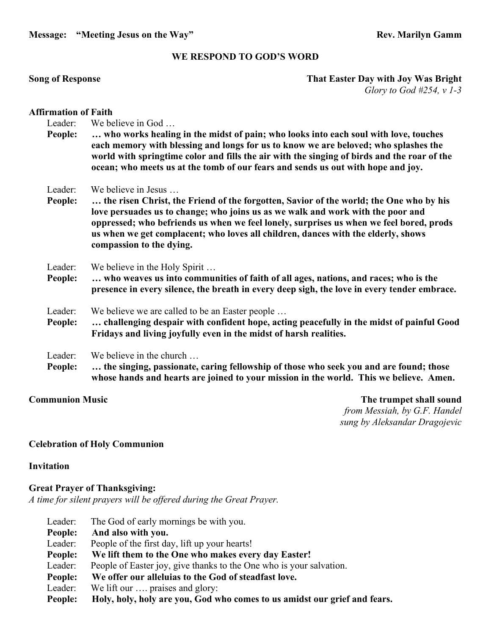**Message: "Meeting Jesus on the Way"** Rev. Marilyn Gamm

#### **WE RESPOND TO GOD'S WORD**

#### **Song of Response That Easter Day with Joy Was Bright** *Glory to God #254, v 1-3*

#### **Affirmation of Faith**

- Leader: We believe in God ...
- **People: … who works healing in the midst of pain; who looks into each soul with love, touches each memory with blessing and longs for us to know we are beloved; who splashes the world with springtime color and fills the air with the singing of birds and the roar of the ocean; who meets us at the tomb of our fears and sends us out with hope and joy.**
- Leader: We believe in Jesus …
- **People: … the risen Christ, the Friend of the forgotten, Savior of the world; the One who by his love persuades us to change; who joins us as we walk and work with the poor and oppressed; who befriends us when we feel lonely, surprises us when we feel bored, prods us when we get complacent; who loves all children, dances with the elderly, shows compassion to the dying.**
- Leader: We believe in the Holy Spirit ...
- **People: … who weaves us into communities of faith of all ages, nations, and races; who is the presence in every silence, the breath in every deep sigh, the love in every tender embrace.**
- Leader: We believe we are called to be an Easter people ...
- **People: … challenging despair with confident hope, acting peacefully in the midst of painful Good Fridays and living joyfully even in the midst of harsh realities.**
- Leader: We believe in the church ...
- **People: … the singing, passionate, caring fellowship of those who seek you and are found; those whose hands and hearts are joined to your mission in the world. This we believe. Amen.**

**Communion Music The trumpet shall sound** *from Messiah, by G.F. Handel sung by Aleksandar Dragojevic*

### **Celebration of Holy Communion**

#### **Invitation**

### **Great Prayer of Thanksgiving:**

*A time for silent prayers will be offered during the Great Prayer.*

- Leader: The God of early mornings be with you. **People: And also with you.** Leader: People of the first day, lift up your hearts! **People: We lift them to the One who makes every day Easter!** Leader: People of Easter joy, give thanks to the One who is your salvation. **People: We offer our alleluias to the God of steadfast love.** Leader: We lift our .... praises and glory:
- **People: Holy, holy, holy are you, God who comes to us amidst our grief and fears.**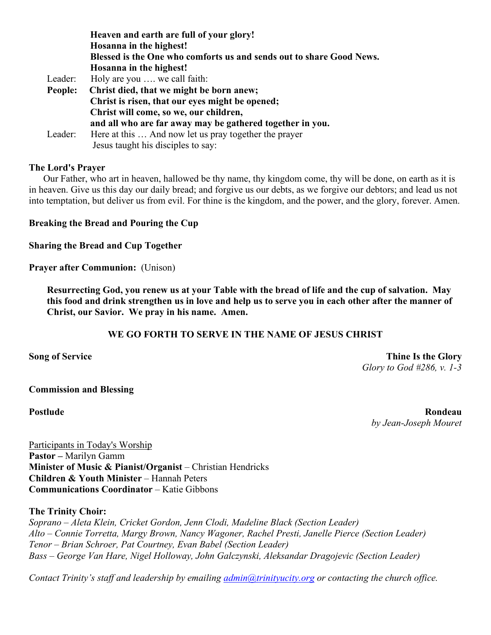|         | Heaven and earth are full of your glory!                             |
|---------|----------------------------------------------------------------------|
|         | Hosanna in the highest!                                              |
|         | Blessed is the One who comforts us and sends out to share Good News. |
|         | Hosanna in the highest!                                              |
| Leader: | Holy are you  we call faith:                                         |
| People: | Christ died, that we might be born anew;                             |
|         | Christ is risen, that our eyes might be opened;                      |
|         | Christ will come, so we, our children,                               |
|         | and all who are far away may be gathered together in you.            |
| Leader: | Here at this  And now let us pray together the prayer                |
|         | Jesus taught his disciples to say:                                   |

### **The Lord's Prayer**

 Our Father, who art in heaven, hallowed be thy name, thy kingdom come, thy will be done, on earth as it is in heaven. Give us this day our daily bread; and forgive us our debts, as we forgive our debtors; and lead us not into temptation, but deliver us from evil. For thine is the kingdom, and the power, and the glory, forever. Amen.

**Breaking the Bread and Pouring the Cup**

**Sharing the Bread and Cup Together**

**Prayer after Communion:** (Unison)

**Resurrecting God, you renew us at your Table with the bread of life and the cup of salvation. May this food and drink strengthen us in love and help us to serve you in each other after the manner of Christ, our Savior. We pray in his name. Amen.**

# **WE GO FORTH TO SERVE IN THE NAME OF JESUS CHRIST**

**Song of Service Thine Is the Glory** *Glory to God #286, v. 1-3*

### **Commission and Blessing**

**Postlude Rondeau** *by Jean-Joseph Mouret*

Participants in Today's Worship **Pastor –** Marilyn Gamm **Minister of Music & Pianist/Organist** – Christian Hendricks **Children & Youth Minister** – Hannah Peters **Communications Coordinator** – Katie Gibbons

### **The Trinity Choir:**

*Soprano – Aleta Klein, Cricket Gordon, Jenn Clodi, Madeline Black (Section Leader) Alto – Connie Torretta, Margy Brown, Nancy Wagoner, Rachel Presti, Janelle Pierce (Section Leader) Tenor – Brian Schroer, Pat Courtney, Evan Babel (Section Leader) Bass – George Van Hare, Nigel Holloway, John Galczynski, Aleksandar Dragojevic (Section Leader)*

*Contact Trinity's staff and leadership by emailing [admin@trinityucity.org](mailto:admin@trinityucity.org) or contacting the church office.*